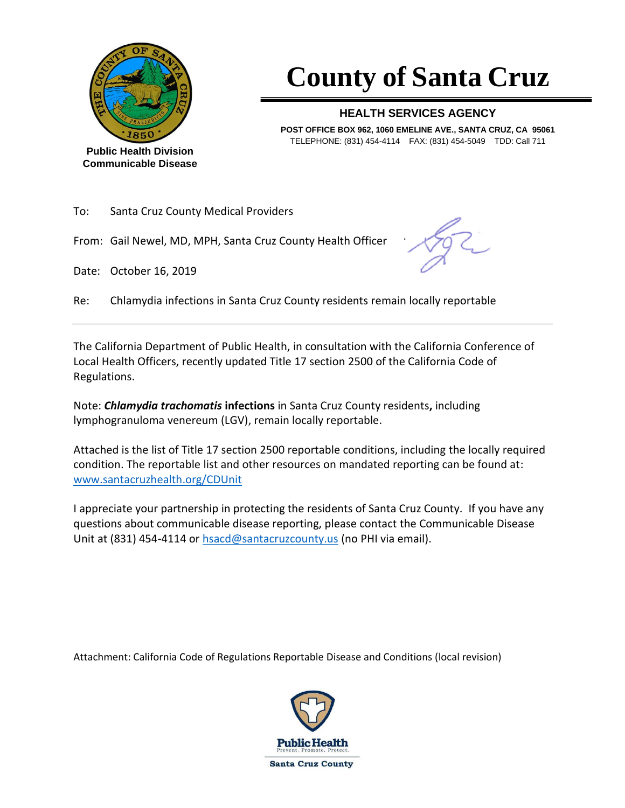

**Public Health Division Communicable Disease**

# **County of Santa Cruz**

#### **HEALTH SERVICES AGENCY**

**POST OFFICE BOX 962, 1060 EMELINE AVE., SANTA CRUZ, CA 95061** TELEPHONE: (831) 454-4114 FAX: (831) 454-5049 TDD: Call 711

| To: | <b>Santa Cruz County Medical Providers</b> |
|-----|--------------------------------------------|
|     |                                            |

From: Gail Newel, MD, MPH, Santa Cruz County Health Officer

Date: October 16, 2019

Re: Chlamydia infections in Santa Cruz County residents remain locally reportable

The California Department of Public Health, in consultation with the California Conference of Local Health Officers, recently updated Title 17 section 2500 of the California Code of Regulations.

Note: *Chlamydia trachomatis* **infections** in Santa Cruz County residents**,** including lymphogranuloma venereum (LGV), remain locally reportable.

Attached is the list of Title 17 section 2500 reportable conditions, including the locally required condition. The reportable list and other resources on mandated reporting can be found at: [www.santacruzhealth.org/CDUnit](http://www.santacruzhealth.org/CDUnit)

I appreciate your partnership in protecting the residents of Santa Cruz County. If you have any questions about communicable disease reporting, please contact the Communicable Disease Unit at (831) 454-4114 or [hsacd@santacruzcounty.us](mailto:hsacd@santacruzcounty.us) (no PHI via email).

Attachment: California Code of Regulations Reportable Disease and Conditions (local revision)

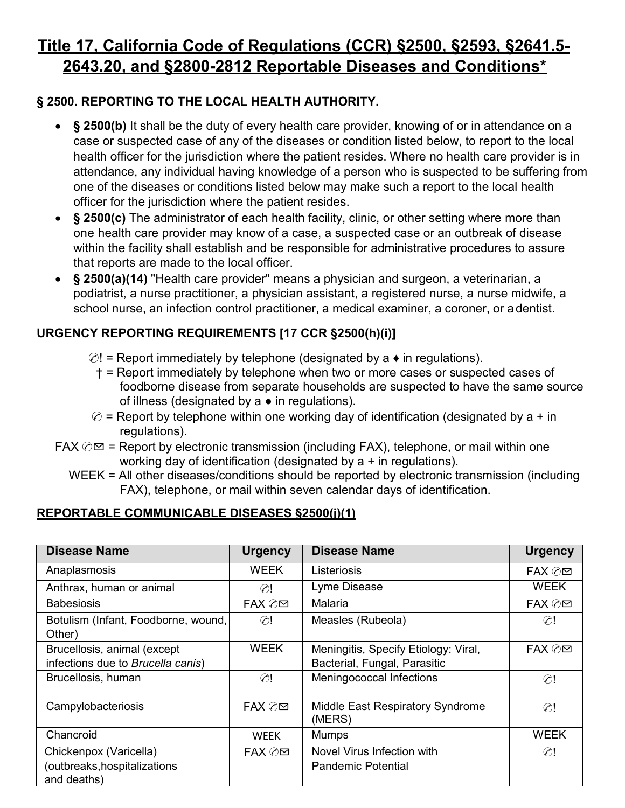# **Title 17, California Code of Regulations (CCR) §2500, §2593, §2641.5- 2643.20, and §2800-2812 Reportable Diseases and Conditions\***

# **§ 2500. REPORTING TO THE LOCAL HEALTH AUTHORITY.**

- **§ 2500(b)** It shall be the duty of every health care provider, knowing of or in attendance on a case or suspected case of any of the diseases or condition listed below, to report to the local health officer for the jurisdiction where the patient resides. Where no health care provider is in attendance, any individual having knowledge of a person who is suspected to be suffering from one of the diseases or conditions listed below may make such a report to the local health officer for the jurisdiction where the patient resides.
- **§ 2500(c)** The administrator of each health facility, clinic, or other setting where more than one health care provider may know of a case, a suspected case or an outbreak of disease within the facility shall establish and be responsible for administrative procedures to assure that reports are made to the local officer.
- **§ 2500(a)(14)** "Health care provider" means a physician and surgeon, a veterinarian, a podiatrist, a nurse practitioner, a physician assistant, a registered nurse, a nurse midwife, a school nurse, an infection control practitioner, a medical examiner, a coroner, or a dentist.

# **URGENCY REPORTING REQUIREMENTS [17 CCR §2500(h)(i)]**

- $\odot$ ! = Report immediately by telephone (designated by a  $\bullet$  in regulations).
	- † = Report immediately by telephone when two or more cases or suspected cases of foodborne disease from separate households are suspected to have the same source of illness (designated by  $a \bullet$  in regulations).
- $\oslash$  = Report by telephone within one working day of identification (designated by a + in regulations).
- FAX  $\oslash\,\,\cong\,$  = Report by electronic transmission (including FAX), telephone, or mail within one working day of identification (designated by a + in regulations).
	- WEEK = All other diseases/conditions should be reported by electronic transmission (including FAX), telephone, or mail within seven calendar days of identification.

## **REPORTABLE COMMUNICABLE DISEASES §2500(j)(1)**

| <b>Disease Name</b>                           | <b>Urgency</b> | <b>Disease Name</b>                               | <b>Urgency</b> |
|-----------------------------------------------|----------------|---------------------------------------------------|----------------|
| Anaplasmosis                                  | WEEK           | Listeriosis                                       | FAX ⊘⊠         |
| Anthrax, human or animal                      | $\oslash !$    | Lyme Disease                                      | <b>WEEK</b>    |
| <b>Babesiosis</b>                             | FAX ⊘⊠         | Malaria                                           | FAX ⊘⊠         |
| Botulism (Infant, Foodborne, wound,<br>Other) | $\oslash !$    | Measles (Rubeola)                                 | $\odot!$       |
| Brucellosis, animal (except                   | <b>WEEK</b>    | Meningitis, Specify Etiology: Viral,              | FAX ⊘⊠         |
| infections due to Brucella canis)             |                | Bacterial, Fungal, Parasitic                      |                |
| Brucellosis, human                            | $\oslash$ !    | Meningococcal Infections                          | $\odot$ !      |
| Campylobacteriosis                            | FAX ⊘⊠         | <b>Middle East Respiratory Syndrome</b><br>(MERS) | $\odot$ !      |
| Chancroid                                     | WEEK           | <b>Mumps</b>                                      | <b>WEEK</b>    |
| Chickenpox (Varicella)                        | FAX ⊘⊠         | Novel Virus Infection with                        | $\odot!$       |
| (outbreaks, hospitalizations                  |                | <b>Pandemic Potential</b>                         |                |
| and deaths)                                   |                |                                                   |                |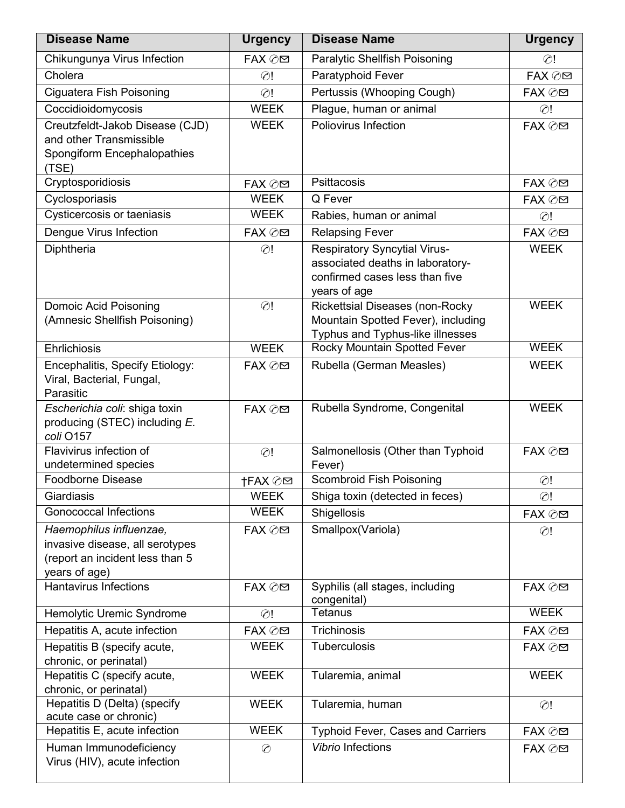| <b>Disease Name</b>                                                                                            | <b>Urgency</b> | <b>Disease Name</b>                                                                                                       | <b>Urgency</b> |
|----------------------------------------------------------------------------------------------------------------|----------------|---------------------------------------------------------------------------------------------------------------------------|----------------|
| Chikungunya Virus Infection                                                                                    | FAX ⊘⊠         | Paralytic Shellfish Poisoning                                                                                             | $\odot$ !      |
| Cholera                                                                                                        | $\odot$ !      | Paratyphoid Fever                                                                                                         | FAX ⊘⊠         |
| Ciguatera Fish Poisoning                                                                                       | $\odot$ !      | Pertussis (Whooping Cough)                                                                                                | FAX ⊘⊠         |
| Coccidioidomycosis                                                                                             | <b>WEEK</b>    | Plague, human or animal                                                                                                   | $\odot$ !      |
| Creutzfeldt-Jakob Disease (CJD)<br>and other Transmissible<br>Spongiform Encephalopathies<br>(TSE)             | <b>WEEK</b>    | Poliovirus Infection                                                                                                      | FAX ⊘⊠         |
| Cryptosporidiosis                                                                                              | FAX ⊘⊠         | Psittacosis                                                                                                               | FAX ⊘⊠         |
| Cyclosporiasis                                                                                                 | <b>WEEK</b>    | Q Fever                                                                                                                   | FAX ⊘⊠         |
| Cysticercosis or taeniasis                                                                                     | <b>WEEK</b>    | Rabies, human or animal                                                                                                   | $\odot$ !      |
| Dengue Virus Infection                                                                                         | FAX ⊘⊠         | <b>Relapsing Fever</b>                                                                                                    | FAX ⊘⊠         |
| Diphtheria                                                                                                     | $\odot$ !      | <b>Respiratory Syncytial Virus-</b><br>associated deaths in laboratory-<br>confirmed cases less than five<br>years of age | <b>WEEK</b>    |
| <b>Domoic Acid Poisoning</b><br>(Amnesic Shellfish Poisoning)                                                  | $\odot$ !      | <b>Rickettsial Diseases (non-Rocky</b><br>Mountain Spotted Fever), including<br>Typhus and Typhus-like illnesses          | <b>WEEK</b>    |
| <b>Ehrlichiosis</b>                                                                                            | <b>WEEK</b>    | Rocky Mountain Spotted Fever                                                                                              | <b>WEEK</b>    |
| Encephalitis, Specify Etiology:<br>Viral, Bacterial, Fungal,<br>Parasitic                                      | FAX ⊘⊠         | Rubella (German Measles)                                                                                                  | <b>WEEK</b>    |
| Escherichia coli: shiga toxin<br>producing (STEC) including E.<br>coli O157                                    | FAX ⊘⊠         | Rubella Syndrome, Congenital                                                                                              | <b>WEEK</b>    |
| Flavivirus infection of<br>undetermined species                                                                | $\odot!$       | Salmonellosis (Other than Typhoid<br>Fever)                                                                               | FAX ⊘⊠         |
| <b>Foodborne Disease</b>                                                                                       | †FAX ⊘⊠        | Scombroid Fish Poisoning                                                                                                  | $\odot$ !      |
| Giardiasis                                                                                                     | <b>WEEK</b>    | Shiga toxin (detected in feces)                                                                                           | $\odot$ !      |
| <b>Gonococcal Infections</b>                                                                                   | <b>WEEK</b>    | Shigellosis                                                                                                               | FAX ⊘⊠         |
| Haemophilus influenzae,<br>invasive disease, all serotypes<br>(report an incident less than 5<br>years of age) | FAX ⊘⊠         | Smallpox(Variola)                                                                                                         | $\odot$ !      |
| <b>Hantavirus Infections</b>                                                                                   | FAX ⊘⊠         | Syphilis (all stages, including<br>congenital)                                                                            | FAX ⊘⊠         |
| Hemolytic Uremic Syndrome                                                                                      | $\odot$ !      | <b>Tetanus</b>                                                                                                            | <b>WEEK</b>    |
| Hepatitis A, acute infection                                                                                   | FAX ⊘⊠         | Trichinosis                                                                                                               | FAX ⊘⊠         |
| Hepatitis B (specify acute,<br>chronic, or perinatal)                                                          | <b>WEEK</b>    | Tuberculosis                                                                                                              | FAX ⊘⊠         |
| Hepatitis C (specify acute,<br>chronic, or perinatal)                                                          | <b>WEEK</b>    | Tularemia, animal                                                                                                         | <b>WEEK</b>    |
| Hepatitis D (Delta) (specify<br>acute case or chronic)                                                         | <b>WEEK</b>    | Tularemia, human                                                                                                          | $\odot$ !      |
| Hepatitis E, acute infection                                                                                   | <b>WEEK</b>    | <b>Typhoid Fever, Cases and Carriers</b>                                                                                  | FAX ⊘⊠         |
| Human Immunodeficiency<br>Virus (HIV), acute infection                                                         | $\odot$        | <b>Vibrio Infections</b>                                                                                                  | FAX ⊘⊠         |